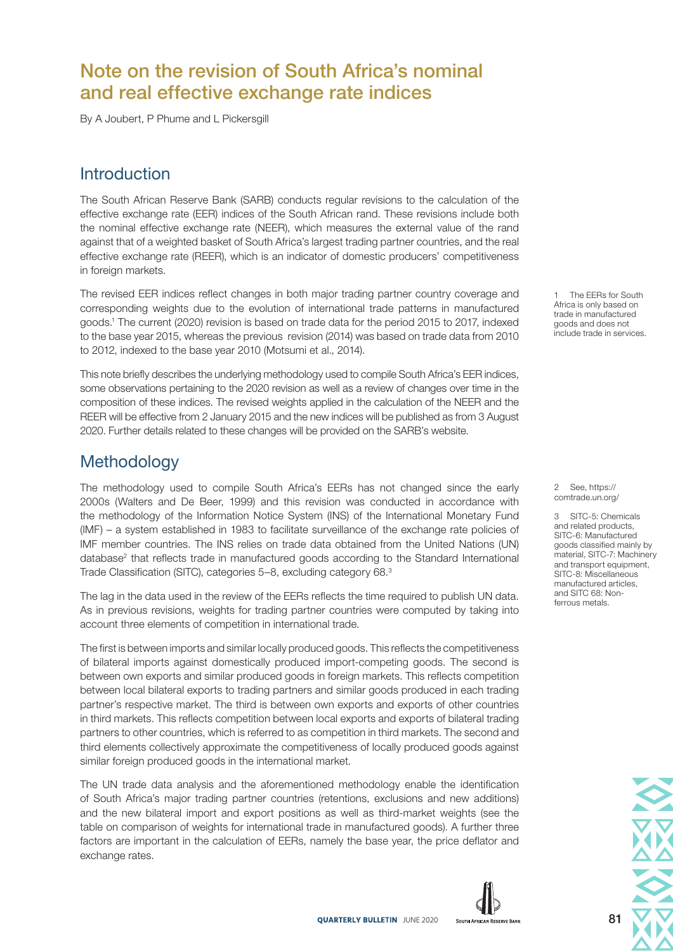# Note on the revision of South Africa's nominal and real effective exchange rate indices

By A Joubert, P Phume and L Pickersgill

### **Introduction**

The South African Reserve Bank (SARB) conducts regular revisions to the calculation of the effective exchange rate (EER) indices of the South African rand. These revisions include both the nominal effective exchange rate (NEER), which measures the external value of the rand against that of a weighted basket of South Africa's largest trading partner countries, and the real effective exchange rate (REER), which is an indicator of domestic producers' competitiveness in foreign markets.

The revised EER indices reflect changes in both major trading partner country coverage and corresponding weights due to the evolution of international trade patterns in manufactured goods.1 The current (2020) revision is based on trade data for the period 2015 to 2017, indexed to the base year 2015, whereas the previous revision (2014) was based on trade data from 2010 to 2012, indexed to the base year 2010 (Motsumi et al., 2014).

This note briefly describes the underlying methodology used to compile South Africa's EER indices, some observations pertaining to the 2020 revision as well as a review of changes over time in the composition of these indices. The revised weights applied in the calculation of the NEER and the REER will be effective from 2 January 2015 and the new indices will be published as from 3 August 2020. Further details related to these changes will be provided on the SARB's website.

### **Methodology**

The methodology used to compile South Africa's EERs has not changed since the early 2000s (Walters and De Beer, 1999) and this revision was conducted in accordance with the methodology of the Information Notice System (INS) of the International Monetary Fund (IMF) – a system established in 1983 to facilitate surveillance of the exchange rate policies of IMF member countries. The INS relies on trade data obtained from the United Nations (UN) database<sup>2</sup> that reflects trade in manufactured goods according to the Standard International Trade Classification (SITC), categories 5–8, excluding category 68.3

The lag in the data used in the review of the EERs reflects the time required to publish UN data. As in previous revisions, weights for trading partner countries were computed by taking into account three elements of competition in international trade.

The first is between imports and similar locally produced goods. This reflects the competitiveness of bilateral imports against domestically produced import-competing goods. The second is between own exports and similar produced goods in foreign markets. This reflects competition between local bilateral exports to trading partners and similar goods produced in each trading partner's respective market. The third is between own exports and exports of other countries in third markets. This reflects competition between local exports and exports of bilateral trading partners to other countries, which is referred to as competition in third markets. The second and third elements collectively approximate the competitiveness of locally produced goods against similar foreign produced goods in the international market.

The UN trade data analysis and the aforementioned methodology enable the identification of South Africa's major trading partner countries (retentions, exclusions and new additions) and the new bilateral import and export positions as well as third-market weights (see the table on comparison of weights for international trade in manufactured goods). A further three factors are important in the calculation of EERs, namely the base year, the price deflator and exchange rates.



The EERs for South Africa is only based on trade in manufactured goods and does not include trade in services.

2 See, https:// comtrade.un.org/

3 SITC-5: Chemicals and related products, SITC-6: Manufactured goods classified mainly by material, SITC-7: Machinery and transport equipment, SITC-8: Miscellaneous manufactured articles, and SITC 68: Nonferrous metals.

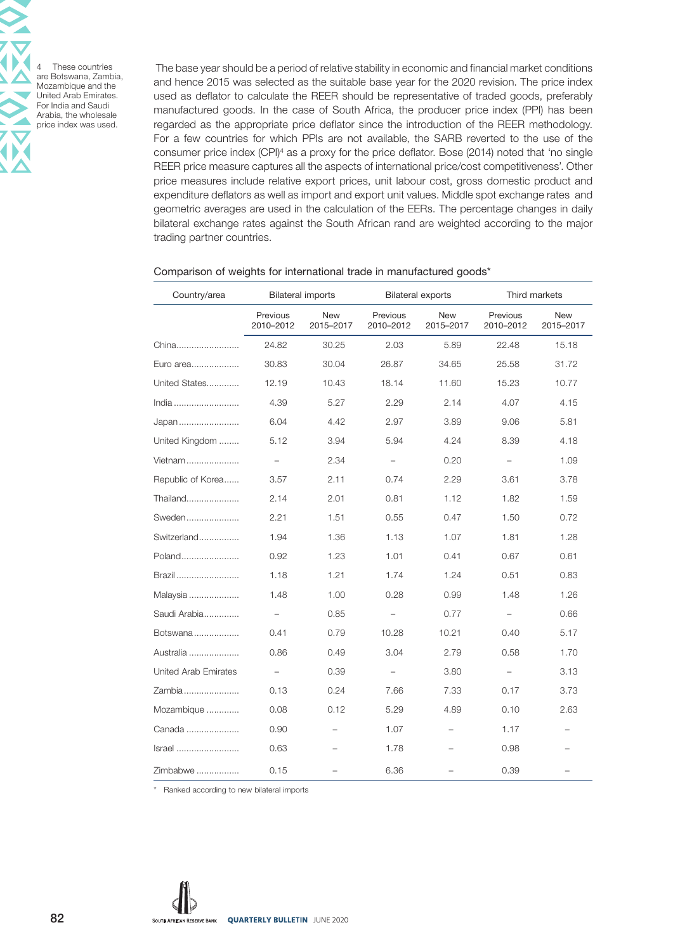These countries are Botswana, Zambia, Mozambique and the United Arab Emirates. For India and Saudi Arabia, the wholesale price index was used.

 The base year should be a period of relative stability in economic and financial market conditions and hence 2015 was selected as the suitable base year for the 2020 revision. The price index used as deflator to calculate the REER should be representative of traded goods, preferably manufactured goods. In the case of South Africa, the producer price index (PPI) has been regarded as the appropriate price deflator since the introduction of the REER methodology. For a few countries for which PPIs are not available, the SARB reverted to the use of the consumer price index (CPI)4 as a proxy for the price deflator. Bose (2014) noted that 'no single REER price measure captures all the aspects of international price/cost competitiveness'. Other price measures include relative export prices, unit labour cost, gross domestic product and expenditure deflators as well as import and export unit values. Middle spot exchange rates and geometric averages are used in the calculation of the EERs. The percentage changes in daily bilateral exchange rates against the South African rand are weighted according to the major trading partner countries.

| Country/area         | <b>Bilateral imports</b> |                  | <b>Bilateral exports</b> |                         | Third markets         |                          |
|----------------------|--------------------------|------------------|--------------------------|-------------------------|-----------------------|--------------------------|
|                      | Previous<br>2010-2012    | New<br>2015-2017 | Previous<br>2010-2012    | <b>New</b><br>2015-2017 | Previous<br>2010-2012 | New<br>2015-2017         |
| China                | 24.82                    | 30.25            | 2.03                     | 5.89                    | 22.48                 | 15.18                    |
| Euro area            | 30.83                    | 30.04            | 26.87                    | 34.65                   | 25.58                 | 31.72                    |
| United States        | 12.19                    | 10.43            | 18.14                    | 11.60                   | 15.23                 | 10.77                    |
| India                | 4.39                     | 5.27             | 2.29                     | 2.14                    | 4.07                  | 4.15                     |
| Japan                | 6.04                     | 4.42             | 2.97                     | 3.89                    | 9.06                  | 5.81                     |
| United Kingdom       | 5.12                     | 3.94             | 5.94                     | 4.24                    | 8.39                  | 4.18                     |
| Vietnam              |                          | 2.34             | $\qquad \qquad -$        | 0.20                    | $\qquad \qquad -$     | 1.09                     |
| Republic of Korea    | 3.57                     | 2.11             | 0.74                     | 2.29                    | 3.61                  | 3.78                     |
| Thailand             | 2.14                     | 2.01             | 0.81                     | 1.12                    | 1.82                  | 1.59                     |
| Sweden               | 2.21                     | 1.51             | 0.55                     | 0.47                    | 1.50                  | 0.72                     |
| Switzerland          | 1.94                     | 1.36             | 1.13                     | 1.07                    | 1.81                  | 1.28                     |
| Poland               | 0.92                     | 1.23             | 1.01                     | 0.41                    | 0.67                  | 0.61                     |
| Brazil               | 1.18                     | 1.21             | 1.74                     | 1.24                    | 0.51                  | 0.83                     |
| Malaysia             | 1.48                     | 1.00             | 0.28                     | 0.99                    | 1.48                  | 1.26                     |
| Saudi Arabia         | $\qquad \qquad -$        | 0.85             | $\qquad \qquad -$        | 0.77                    | $\qquad \qquad -$     | 0.66                     |
| Botswana             | 0.41                     | 0.79             | 10.28                    | 10.21                   | 0.40                  | 5.17                     |
| Australia            | 0.86                     | 0.49             | 3.04                     | 2.79                    | 0.58                  | 1.70                     |
| United Arab Emirates |                          | 0.39             | $\overline{\phantom{0}}$ | 3.80                    |                       | 3.13                     |
| Zambia               | 0.13                     | 0.24             | 7.66                     | 7.33                    | 0.17                  | 3.73                     |
| Mozambique           | 0.08                     | 0.12             | 5.29                     | 4.89                    | 0.10                  | 2.63                     |
| Canada               | 0.90                     |                  | 1.07                     |                         | 1.17                  |                          |
| Israel               | 0.63                     |                  | 1.78                     |                         | 0.98                  | $\overline{\phantom{0}}$ |
| Zimbabwe             | 0.15                     |                  | 6.36                     |                         | 0.39                  |                          |

#### Comparison of weights for international trade in manufactured goods\*

\* Ranked according to new bilateral imports

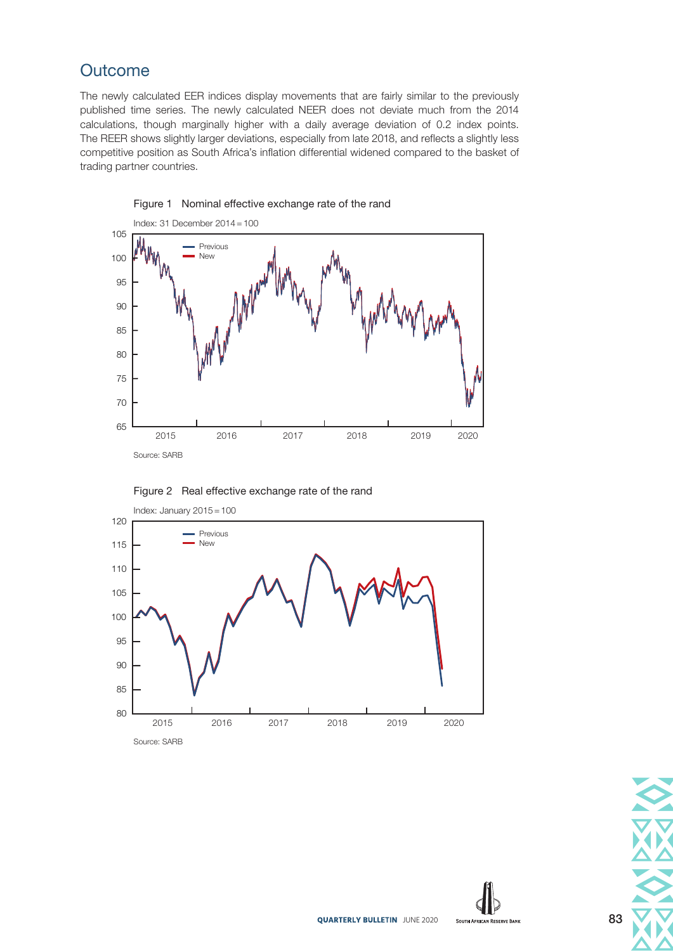# **Outcome**

The newly calculated EER indices display movements that are fairly similar to the previously published time series. The newly calculated NEER does not deviate much from the 2014 calculations, though marginally higher with a daily average deviation of 0.2 index points. The REER shows slightly larger deviations, especially from late 2018, and reflects a slightly less competitive position as South Africa's inflation differential widened compared to the basket of trading partner countries.



Figure 1 Nominal effective exchange rate of the rand



Figure 2 Real effective exchange rate of the rand



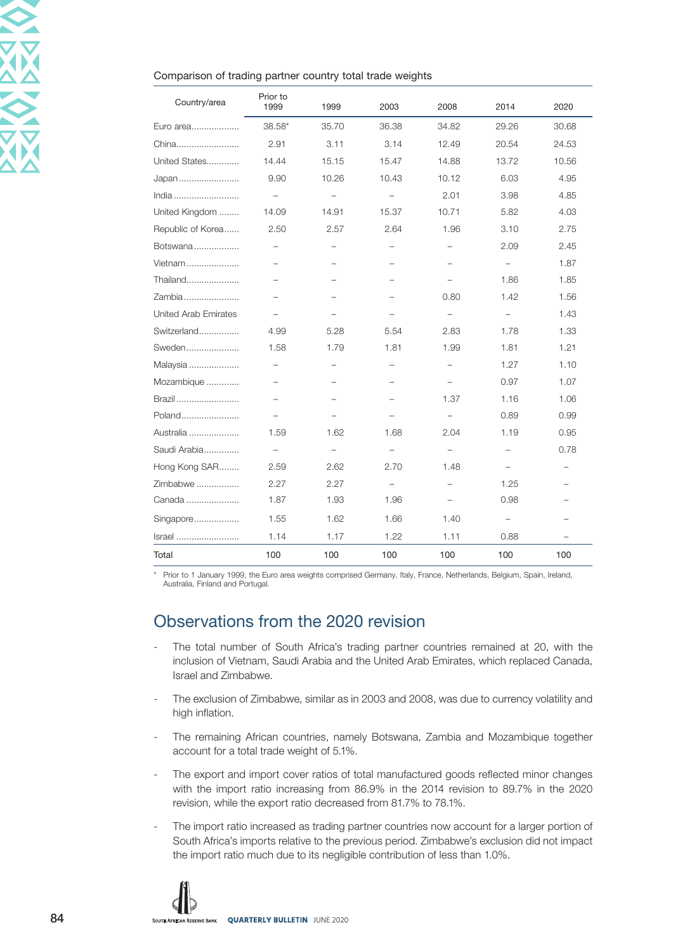#### Comparison of trading partner country total trade weights

| Country/area         | Prior to<br>1999         | 1999                     | 2003                     | 2008                     | 2014                     | 2020                     |
|----------------------|--------------------------|--------------------------|--------------------------|--------------------------|--------------------------|--------------------------|
| Euro area            | 38.58*                   | 35.70                    | 36.38                    | 34.82                    | 29.26                    | 30.68                    |
| China                | 2.91                     | 3.11                     | 3.14                     | 12.49                    | 20.54                    | 24.53                    |
| United States        | 14.44                    | 15.15                    | 15.47                    | 14.88                    | 13.72                    | 10.56                    |
| Japan                | 9.90                     | 10.26                    | 10.43                    | 10.12                    | 6.03                     | 4.95                     |
| India                | $\overline{\phantom{0}}$ | $\qquad \qquad -$        | $\overline{\phantom{0}}$ | 2.01                     | 3.98                     | 4.85                     |
| United Kingdom       | 14.09                    | 14.91                    | 15.37                    | 10.71                    | 5.82                     | 4.03                     |
| Republic of Korea    | 2.50                     | 2.57                     | 2.64                     | 1.96                     | 3.10                     | 2.75                     |
| Botswana             |                          | $\sim$                   | $\overline{\phantom{a}}$ | $\overline{\phantom{0}}$ | 2.09                     | 2.45                     |
| Vietnam              |                          |                          |                          | -                        | $\qquad \qquad -$        | 1.87                     |
| Thailand             |                          |                          | $\overline{\phantom{0}}$ | $\overline{\phantom{0}}$ | 1.86                     | 1.85                     |
| Zambia               |                          |                          |                          | 0.80                     | 1.42                     | 1.56                     |
| United Arab Emirates |                          |                          |                          | $\overline{\phantom{0}}$ | $\overline{\phantom{0}}$ | 1.43                     |
| Switzerland          | 4.99                     | 5.28                     | 5.54                     | 2.83                     | 1.78                     | 1.33                     |
| Sweden               | 1.58                     | 1.79                     | 1.81                     | 1.99                     | 1.81                     | 1.21                     |
| Malaysia             |                          |                          | -                        | $\overline{\phantom{0}}$ | 1.27                     | 1.10                     |
| Mozambique           | $\overline{\phantom{0}}$ | $\overline{\phantom{0}}$ | $\overline{\phantom{0}}$ | $\overline{\phantom{0}}$ | 0.97                     | 1.07                     |
| Brazil               |                          |                          |                          | 1.37                     | 1.16                     | 1.06                     |
| Poland               |                          |                          |                          |                          | 0.89                     | 0.99                     |
| Australia            | 1.59                     | 1.62                     | 1.68                     | 2.04                     | 1.19                     | 0.95                     |
| Saudi Arabia         | $\overline{\phantom{0}}$ | $\qquad \qquad -$        | $\qquad \qquad -$        | $\qquad \qquad -$        | $\overline{\phantom{0}}$ | 0.78                     |
| Hong Kong SAR        | 2.59                     | 2.62                     | 2.70                     | 1.48                     | $\overline{\phantom{0}}$ |                          |
| Zimbabwe             | 2.27                     | 2.27                     | $\overline{\phantom{0}}$ | $\overline{\phantom{0}}$ | 1.25                     |                          |
| Canada               | 1.87                     | 1.93                     | 1.96                     | $\overline{\phantom{0}}$ | 0.98                     |                          |
| Singapore            | 1.55                     | 1.62                     | 1.66                     | 1.40                     | $\qquad \qquad -$        |                          |
| Israel               | 1.14                     | 1.17                     | 1.22                     | 1.11                     | 0.88                     | $\overline{\phantom{0}}$ |
| Total                | 100                      | 100                      | 100                      | 100                      | 100                      | 100                      |

\* Prior to 1 January 1999, the Euro area weights comprised Germany, Italy, France, Netherlands, Belgium, Spain, Ireland, Australia, Finland and Portugal.

## Observations from the 2020 revision

- The total number of South Africa's trading partner countries remained at 20, with the inclusion of Vietnam, Saudi Arabia and the United Arab Emirates, which replaced Canada, Israel and Zimbabwe.
- The exclusion of Zimbabwe, similar as in 2003 and 2008, was due to currency volatility and high inflation.
- The remaining African countries, namely Botswana, Zambia and Mozambique together account for a total trade weight of 5.1%.
- The export and import cover ratios of total manufactured goods reflected minor changes with the import ratio increasing from 86.9% in the 2014 revision to 89.7% in the 2020 revision, while the export ratio decreased from 81.7% to 78.1%.
- The import ratio increased as trading partner countries now account for a larger portion of South Africa's imports relative to the previous period. Zimbabwe's exclusion did not impact the import ratio much due to its negligible contribution of less than 1.0%.

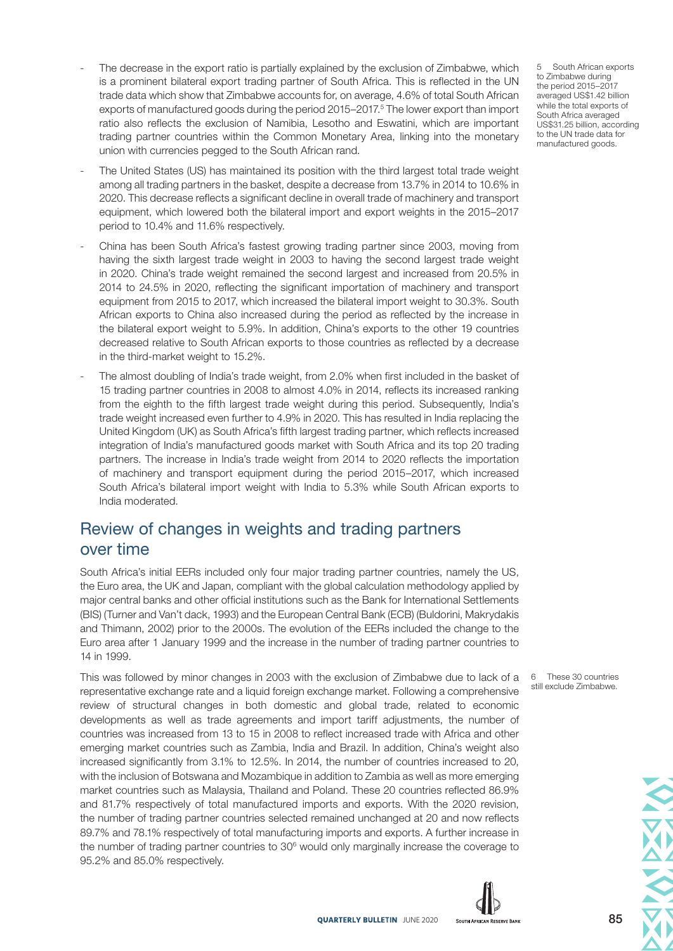- The decrease in the export ratio is partially explained by the exclusion of Zimbabwe, which is a prominent bilateral export trading partner of South Africa. This is reflected in the UN trade data which show that Zimbabwe accounts for, on average, 4.6% of total South African exports of manufactured goods during the period 2015–2017.<sup>5</sup> The lower export than import ratio also reflects the exclusion of Namibia, Lesotho and Eswatini, which are important trading partner countries within the Common Monetary Area, linking into the monetary union with currencies pegged to the South African rand.
- The United States (US) has maintained its position with the third largest total trade weight among all trading partners in the basket, despite a decrease from 13.7% in 2014 to 10.6% in 2020. This decrease reflects a significant decline in overall trade of machinery and transport equipment, which lowered both the bilateral import and export weights in the 2015–2017 period to 10.4% and 11.6% respectively.
- China has been South Africa's fastest growing trading partner since 2003, moving from having the sixth largest trade weight in 2003 to having the second largest trade weight in 2020. China's trade weight remained the second largest and increased from 20.5% in 2014 to 24.5% in 2020, reflecting the significant importation of machinery and transport equipment from 2015 to 2017, which increased the bilateral import weight to 30.3%. South African exports to China also increased during the period as reflected by the increase in the bilateral export weight to 5.9%. In addition, China's exports to the other 19 countries decreased relative to South African exports to those countries as reflected by a decrease in the third-market weight to 15.2%.
- The almost doubling of India's trade weight, from 2.0% when first included in the basket of 15 trading partner countries in 2008 to almost 4.0% in 2014, reflects its increased ranking from the eighth to the fifth largest trade weight during this period. Subsequently, India's trade weight increased even further to 4.9% in 2020. This has resulted in India replacing the United Kingdom (UK) as South Africa's fifth largest trading partner, which reflects increased integration of India's manufactured goods market with South Africa and its top 20 trading partners. The increase in India's trade weight from 2014 to 2020 reflects the importation of machinery and transport equipment during the period 2015–2017, which increased South Africa's bilateral import weight with India to 5.3% while South African exports to India moderated.

## Review of changes in weights and trading partners over time

South Africa's initial EERs included only four major trading partner countries, namely the US, the Euro area, the UK and Japan, compliant with the global calculation methodology applied by major central banks and other official institutions such as the Bank for International Settlements (BIS) (Turner and Van't dack, 1993) and the European Central Bank (ECB) (Buldorini, Makrydakis and Thimann, 2002) prior to the 2000s. The evolution of the EERs included the change to the Euro area after 1 January 1999 and the increase in the number of trading partner countries to 14 in 1999.

This was followed by minor changes in 2003 with the exclusion of Zimbabwe due to lack of a representative exchange rate and a liquid foreign exchange market. Following a comprehensive review of structural changes in both domestic and global trade, related to economic developments as well as trade agreements and import tariff adjustments, the number of countries was increased from 13 to 15 in 2008 to reflect increased trade with Africa and other emerging market countries such as Zambia, India and Brazil. In addition, China's weight also increased significantly from 3.1% to 12.5%. In 2014, the number of countries increased to 20, with the inclusion of Botswana and Mozambique in addition to Zambia as well as more emerging market countries such as Malaysia, Thailand and Poland. These 20 countries reflected 86.9% and 81.7% respectively of total manufactured imports and exports. With the 2020 revision, the number of trading partner countries selected remained unchanged at 20 and now reflects 89.7% and 78.1% respectively of total manufacturing imports and exports. A further increase in the number of trading partner countries to  $30<sup>6</sup>$  would only marginally increase the coverage to 95.2% and 85.0% respectively.





5 South African exports to Zimbabwe during the period 2015–2017 averaged US\$1.42 billion while the total exports of South Africa averaged US\$31.25 billion, according to the UN trade data for manufactured goods.

6 These 30 countries still exclude Zimbabwe.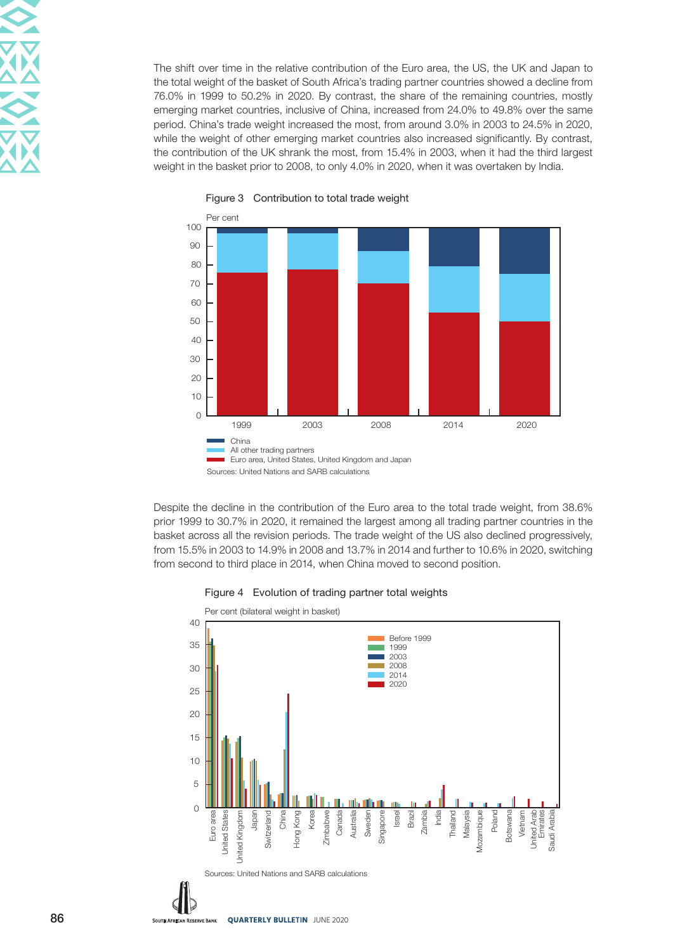The shift over time in the relative contribution of the Euro area, the US, the UK and Japan to the total weight of the basket of South Africa's trading partner countries showed a decline from 76.0% in 1999 to 50.2% in 2020. By contrast, the share of the remaining countries, mostly emerging market countries, inclusive of China, increased from 24.0% to 49.8% over the same period. China's trade weight increased the most, from around 3.0% in 2003 to 24.5% in 2020, while the weight of other emerging market countries also increased significantly. By contrast, the contribution of the UK shrank the most, from 15.4% in 2003, when it had the third largest weight in the basket prior to 2008, to only 4.0% in 2020, when it was overtaken by India.



Figure 3 Contribution to total trade weight

Despite the decline in the contribution of the Euro area to the total trade weight, from 38.6% prior 1999 to 30.7% in 2020, it remained the largest among all trading partner countries in the basket across all the revision periods. The trade weight of the US also declined progressively, from 15.5% in 2003 to 14.9% in 2008 and 13.7% in 2014 and further to 10.6% in 2020, switching from second to third place in 2014, when China moved to second position.



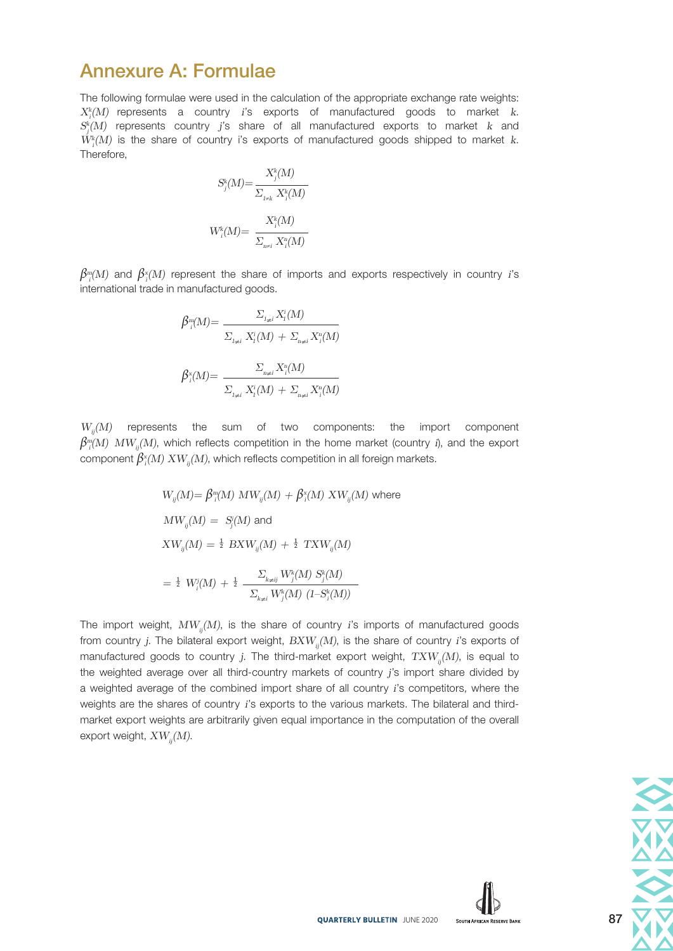# Annexure A: Formulae

The following formulae were used in the calculation of the appropriate exchange rate weights:  $X_i^k(M)$  represents a country *i*'s exports of manufactured goods to market *k*. *Sk j (M)* represents country *j*'s share of all manufactured exports to market *k* and *Wk i (M)* is the share of country i's exports of manufactured goods shipped to market *k*. Therefore,

$$
S_j^k(M)\text{=}\frac{X_j^k(M)}{\sum_{_{l\neq k}}X_j^k(M)}\label{eq:11}
$$
  

$$
W_i^k(M)\text{=}\ \frac{X_i^k(M)}{\sum_{_{n\neq i}}X_i^n(M)}
$$

 $\beta_{i}^{m}(M)$  and  $\beta_{i}^{x}(M)$  represent the share of imports and exports respectively in country *i*'s international trade in manufactured goods.

$$
\beta_{i}^{m}(M) = \frac{\sum_{I_{\neq i}} X_{I}^{i}(M)}{\sum_{I_{\neq i}} X_{I}^{i}(M) + \sum_{n_{\neq i}} X_{I}^{n}(M)}
$$
  

$$
\beta_{i}^{x}(M) = \frac{\sum_{n_{\neq i}} X_{i}^{n}(M)}{\sum_{I_{\neq i}} X_{I}^{i}(M) + \sum_{n_{\neq i}} X_{I}^{n}(M)}
$$

*Wij(M)* represents the sum of two components: the import component  $\beta_{ii}^{m}(M)$   $MW_{ij}(M)$ , which reflects competition in the home market (country *i*), and the export  $\mathsf{component}\: \beta^{\mathsf{x}}_{\mathsf{i}}(M) \: XW_{\mathsf{i}\mathsf{j}}(M)$ , which reflects competition in all foreign markets.

$$
W_{ij}(M) = \beta_{i}^{m}(M) MW_{ij}(M) + \beta_{i}^{x}(M) XW_{ij}(M)
$$
 where  
\n
$$
MW_{ij}(M) = S_{j}^{i}(M) \text{ and}
$$
\n
$$
XW_{ij}(M) = \frac{1}{2} BXW_{ij}(M) + \frac{1}{2} TXW_{ij}(M)
$$
\n
$$
= \frac{1}{2} W_{i}^{i}(M) + \frac{1}{2} \frac{\sum_{k \neq ij} W_{j}^{k}(M) S_{j}^{k}(M)}{\sum_{k \neq i} W_{j}^{k}(M) (1 - S_{i}^{k}(M))}
$$

The import weight,  $MW_{ii}(M)$ , is the share of country *i*'s imports of manufactured goods from country *j*. The bilateral export weight,  $B X W_{ii}(M)$ , is the share of country *i*'s exports of manufactured goods to country *j*. The third-market export weight,  $TXW_{ii}(M)$ , is equal to the weighted average over all third-country markets of country *j*'s import share divided by a weighted average of the combined import share of all country *i*'s competitors, where the weights are the shares of country *i*'s exports to the various markets. The bilateral and thirdmarket export weights are arbitrarily given equal importance in the computation of the overall export weight,  $XW_{ii}(M)$ .